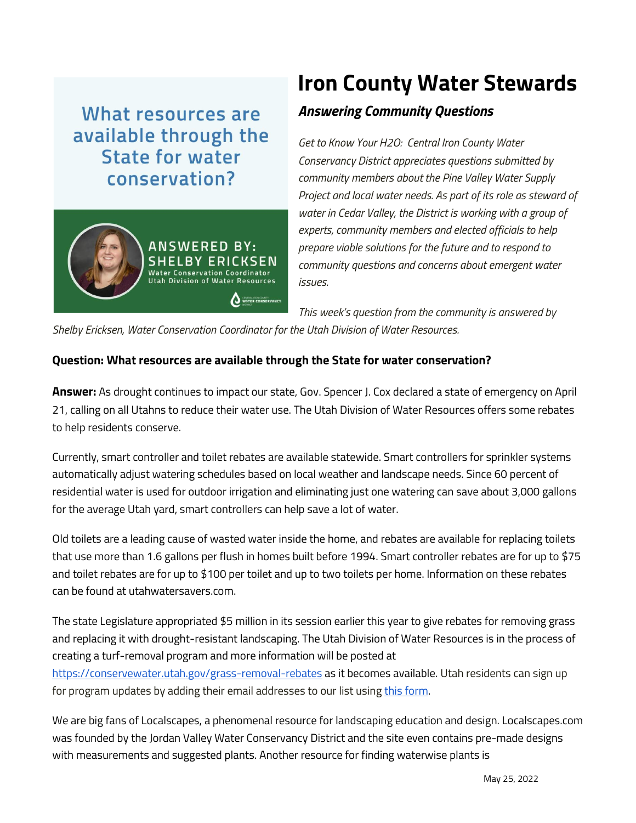## What resources are available through the State for water conservation?



## **Iron County Water Stewards**

## *Answering Community Questions*

*Get to Know Your H2O: Central Iron County Water Conservancy District appreciates questions submitted by community members about the Pine Valley Water Supply Project and local water needs. As part of its role as steward of water in Cedar Valley, the District is working with a group of experts, community members and elected officials to help prepare viable solutions for the future and to respond to community questions and concerns about emergent water issues.*

*This week's question from the community is answered by* 

*Shelby Ericksen, Water Conservation Coordinator for the Utah Division of Water Resources.*

## **Question: What resources are available through the State for water conservation?**

**Answer:** As drought continues to impact our state, Gov. Spencer J. Cox declared a state of emergency on April 21, calling on all Utahns to reduce their water use. The Utah Division of Water Resources offers some rebates to help residents conserve.

Currently, smart controller and toilet rebates are available statewide. Smart controllers for sprinkler systems automatically adjust watering schedules based on local weather and landscape needs. Since 60 percent of residential water is used for outdoor irrigation and eliminating just one watering can save about 3,000 gallons for the average Utah yard, smart controllers can help save a lot of water.

Old toilets are a leading cause of wasted water inside the home, and rebates are available for replacing toilets that use more than 1.6 gallons per flush in homes built before 1994. Smart controller rebates are for up to \$75 and toilet rebates are for up to \$100 per toilet and up to two toilets per home. Information on these rebates can be found at utahwatersavers.com.

The state Legislature appropriated \$5 million in its session earlier this year to give rebates for removing grass and replacing it with drought-resistant landscaping. The Utah Division of Water Resources is in the process of creating a turf-removal program and more information will be posted at <https://conservewater.utah.gov/grass-removal-rebates> as it becomes available. Utah residents can sign up for program updates by adding their email addresses to our list using [this form.](https://docs.google.com/forms/d/e/1FAIpQLSd4unk_sRWolaBvVQRJIaFPyMcSDusEVsYpRz36QBXaXT9MGg/viewform)

We are big fans of Localscapes, a phenomenal resource for landscaping education and design. Localscapes.com was founded by the Jordan Valley Water Conservancy District and the site even contains pre-made designs with measurements and suggested plants. Another resource for finding waterwise plants is